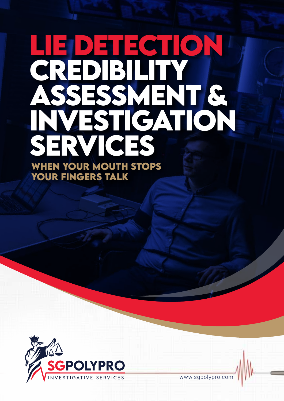# **LIE DETECTION CREDIBILITY ASSESSMENT & INVESTIGATION SERVICES WHEN YOUR MOUTH STOPS YOUR FINGERS TALK**



www.sgpolypro.com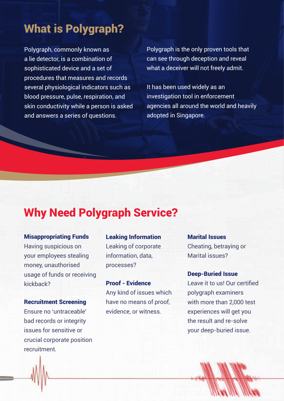# What is Polygraph?

Polygraph, commonly known as a lie detector, is a combination of sophisticated device and a set of procedures that measures and records several physiological indicators such as blood pressure, pulse, respiration, and skin conductivity while a person is asked and answers a series of questions.

Polygraph is the only proven tools that can see through deception and reveal what a deceiver will not freely admit.

It has been used widely as an investigation tool in enforcement agencies all around the world and heavily adopted in Singapore.

### Why Need Polygraph Service?

Misappropriating Funds Having suspicious on your employees stealing money, unauthorised usage of funds or receiving kickback?

Recruitment Screening Ensure no 'untraceable' bad records or integrity issues for sensitive or crucial corporate position recruitment.

Leaking Information Leaking of corporate information, data, processes?

Proof - Evidence Any kind of issues which have no means of proof, evidence, or witness.

Marital Issues Cheating, betraying or Marital issues?

Deep-Buried Issue Leave it to us! Our certified polygraph examiners with more than 2,000 test experiences will get you the result and re-solve your deep-buried issue.

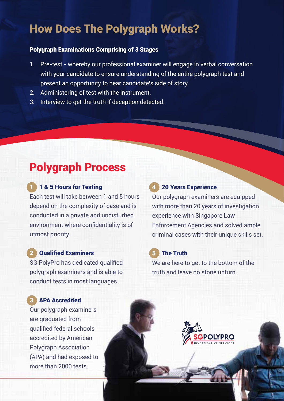## How Does The Polygraph Works?

#### Polygraph Examinations Comprising of 3 Stages

- 1. Pre-test whereby our professional examiner will engage in verbal conversation with your candidate to ensure understanding of the entire polygraph test and present an opportunity to hear candidate's side of story.
- 2. Administering of test with the instrument.
- 3. Interview to get the truth if deception detected.

# Polygraph Process

#### 1 1 & 5 Hours for Testing

Each test will take between 1 and 5 hours depend on the complexity of case and is conducted in a private and undisturbed environment where confidentiality is of utmost priority.

#### 2 Qualified Examiners

SG PolyPro has dedicated qualified polygraph examiners and is able to conduct tests in most languages.

#### **APA Accredited**

Our polygraph examiners are graduated from qualified federal schools accredited by American Polygraph Association (APA) and had exposed to more than 2000 tests.

#### **20 Years Experience**

Our polygraph examiners are equipped with more than 20 years of investigation experience with Singapore Law Enforcement Agencies and solved ample criminal cases with their unique skills set.

#### 5 The Truth

We are here to get to the bottom of the truth and leave no stone unturn.